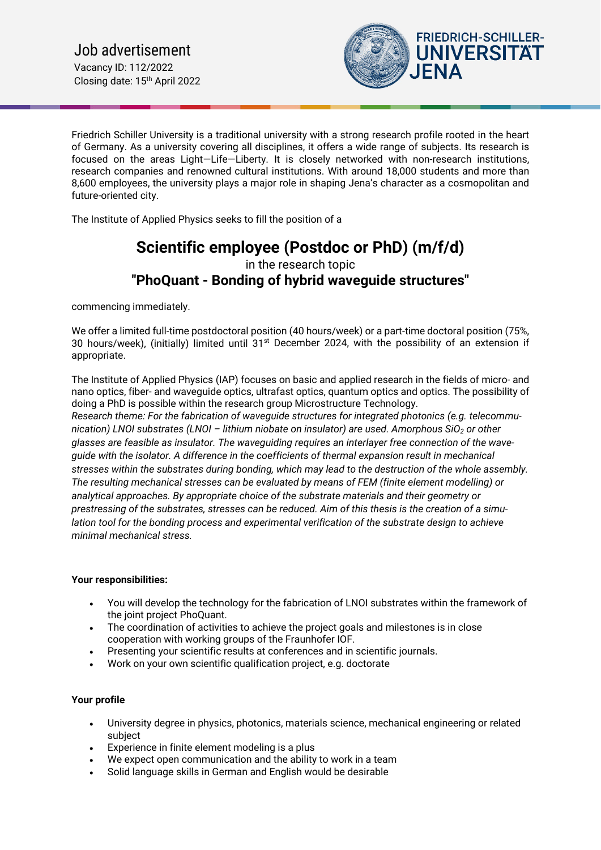

Friedrich Schiller University is a traditional university with a strong research profile rooted in the heart of Germany. As a university covering all disciplines, it offers a wide range of subjects. Its research is focused on the areas Light—Life—Liberty. It is closely networked with non-research institutions, research companies and renowned cultural institutions. With around 18,000 students and more than 8,600 employees, the university plays a major role in shaping Jena's character as a cosmopolitan and future-oriented city.

The Institute of Applied Physics seeks to fill the position of a

# **Scientific employee (Postdoc or PhD) (m/f/d)** in the research topic **"PhoQuant - Bonding of hybrid waveguide structures"**

commencing immediately.

We offer a limited full-time postdoctoral position (40 hours/week) or a part-time doctoral position (75%, 30 hours/week), (initially) limited until  $31<sup>st</sup>$  December 2024, with the possibility of an extension if appropriate.

The Institute of Applied Physics (IAP) focuses on basic and applied research in the fields of micro- and nano optics, fiber- and waveguide optics, ultrafast optics, quantum optics and optics. The possibility of doing a PhD is possible within the research group Microstructure Technology. *Research theme: For the fabrication of waveguide structures for integrated photonics (e.g. telecommunication) LNOI substrates (LNOI – lithium niobate on insulator) are used. Amorphous SiO2 or other glasses are feasible as insulator. The waveguiding requires an interlayer free connection of the waveguide with the isolator. A difference in the coefficients of thermal expansion result in mechanical stresses within the substrates during bonding, which may lead to the destruction of the whole assembly. The resulting mechanical stresses can be evaluated by means of FEM (finite element modelling) or analytical approaches. By appropriate choice of the substrate materials and their geometry or prestressing of the substrates, stresses can be reduced. Aim of this thesis is the creation of a simulation tool for the bonding process and experimental verification of the substrate design to achieve minimal mechanical stress.*

## **Your responsibilities:**

- You will develop the technology for the fabrication of LNOI substrates within the framework of the joint project PhoQuant.
- The coordination of activities to achieve the project goals and milestones is in close cooperation with working groups of the Fraunhofer IOF.
- Presenting your scientific results at conferences and in scientific journals.
- Work on your own scientific qualification project, e.g. doctorate

## **Your profile**

- University degree in physics, photonics, materials science, mechanical engineering or related subject
- Experience in finite element modeling is a plus
- We expect open communication and the ability to work in a team
- Solid language skills in German and English would be desirable